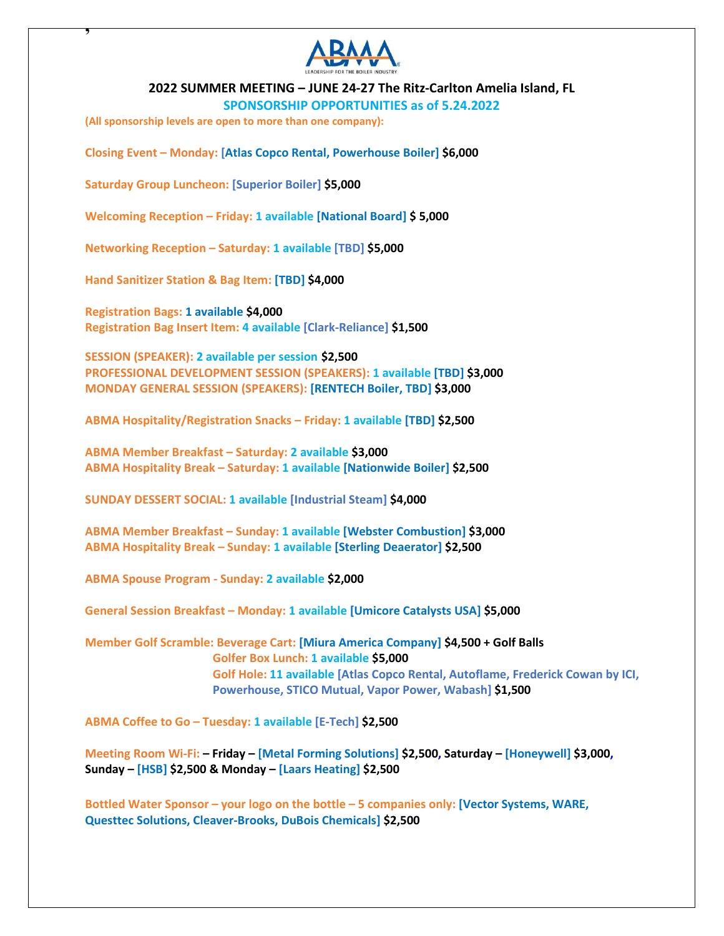

**2022 SUMMER MEETING – JUNE 24-27 The Ritz-Carlton Amelia Island, FL**

**SPONSORSHIP OPPORTUNITIES as of 5.24.2022**

**(All sponsorship levels are open to more than one company):**

**,** 

**Closing Event – Monday: [Atlas Copco Rental, Powerhouse Boiler] \$6,000**

**Saturday Group Luncheon: [Superior Boiler] \$5,000**

**Welcoming Reception – Friday: 1 available [National Board] \$ 5,000**

**Networking Reception – Saturday: 1 available [TBD] \$5,000**

**Hand Sanitizer Station & Bag Item: [TBD] \$4,000**

**Registration Bags: 1 available \$4,000 Registration Bag Insert Item: 4 available [Clark-Reliance] \$1,500**

**SESSION (SPEAKER): 2 available per session \$2,500 PROFESSIONAL DEVELOPMENT SESSION (SPEAKERS): 1 available [TBD] \$3,000 MONDAY GENERAL SESSION (SPEAKERS): [RENTECH Boiler, TBD] \$3,000**

**ABMA Hospitality/Registration Snacks – Friday: 1 available [TBD] \$2,500**

**ABMA Member Breakfast – Saturday: 2 available \$3,000 ABMA Hospitality Break – Saturday: 1 available [Nationwide Boiler] \$2,500**

**SUNDAY DESSERT SOCIAL: 1 available [Industrial Steam] \$4,000**

**ABMA Member Breakfast – Sunday: 1 available [Webster Combustion] \$3,000 ABMA Hospitality Break – Sunday: 1 available [Sterling Deaerator] \$2,500**

**ABMA Spouse Program - Sunday: 2 available \$2,000**

**General Session Breakfast – Monday: 1 available [Umicore Catalysts USA] \$5,000**

**Member Golf Scramble: Beverage Cart: [Miura America Company] \$4,500 + Golf Balls Golfer Box Lunch: 1 available \$5,000 Golf Hole: 11 available [Atlas Copco Rental, Autoflame, Frederick Cowan by ICI, Powerhouse, STICO Mutual, Vapor Power, Wabash] \$1,500**

**ABMA Coffee to Go – Tuesday: 1 available [E-Tech] \$2,500**

**Meeting Room Wi-Fi: – Friday – [Metal Forming Solutions] \$2,500, Saturday – [Honeywell] \$3,000, Sunday – [HSB] \$2,500 & Monday – [Laars Heating] \$2,500**

**Bottled Water Sponsor – your logo on the bottle – 5 companies only: [Vector Systems, WARE, Questtec Solutions, Cleaver-Brooks, DuBois Chemicals] \$2,500**